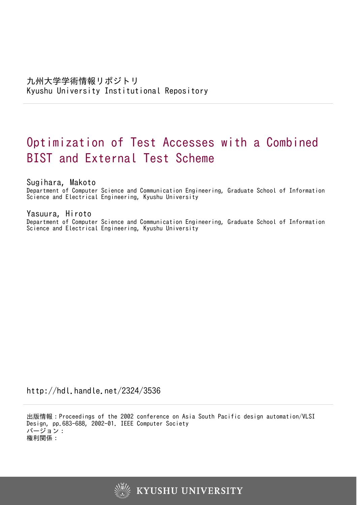# Optimization of Test Accesses with a Combined BIST and External Test Scheme

Sugihara, Makoto

Department of Computer Science and Communication Engineering, Graduate School of Information Science and Electrical Engineering, Kyushu University

Yasuura, Hiroto Department of Computer Science and Communication Engineering, Graduate School of Information Science and Electrical Engineering, Kyushu University

http://hdl.handle.net/2324/3536

出版情報:Proceedings of the 2002 conference on Asia South Pacific design automation/VLSI Design, pp.683-688, 2002-01. IEEE Computer Society バージョン: 権利関係:

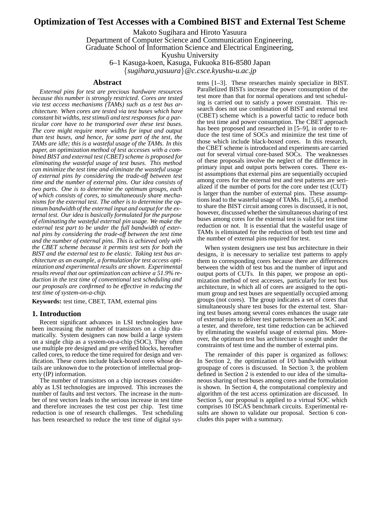# **Optimization of Test Accesses with a Combined BIST and External Test Scheme**

Makoto Sugihara and Hiroto Yasuura Department of Computer Science and Communication Engineering, Graduate School of Information Science and Electrical Engineering, Kyushu University 6–1 Kasuga-koen, Kasuga, Fukuoka 816-8580 Japan

{*sugihara,yasuura*}*@c.csce.kyushu-u.ac.jp*

#### **Abstract**

*External pins for test are precious hardware resources because this number is strongly restricted. Cores are tested via test access mechanisms (TAMs) such as a test bus architecture. When cores are tested via test buses which have constant bit widths, test stimuli and test responses for a particular core have to be transported over these test buses. The core might require more widths for input and output than test buses, and hence, for some part of the test, the TAMs are idle; this is a wasteful usage of the TAMs. In this paper, an optimization method of test accesses with a combined BIST and external test (CBET) scheme is proposed for eliminating the wasteful usage of test buses. This method can minimize the test time and eliminate the wasteful usage of external pins by considering the trade-off between test time and the number of external pins. Our idea consists of two parts. One is to determine the optimum groups, each of which consists of cores, to simultaneously share mechanisms for the external test. The other is to determine the optimum bandwidth of the external input and output for the external test. Our idea is basically formulated for the purpose of eliminating the wasteful external pin usage. We make the external test part to be under the full bandwidth of external pins by considering the trade-off between the test time and the number of external pins. This is achieved only with the CBET scheme because it permits test sets for both the BIST and the external test to be elastic. Taking test bus architecture as an example, a formulation for test access optimization and experimental results are shown. Experimental results reveal that our optimization can achieve a 51.9% reduction in the test time of conventional test scheduling and our proposals are confirmed to be effective in reducing the test time of system-on-a-chip.*

**Keywords:** test time, CBET, TAM, external pins

## **1. Introduction**

Recent significant advances in LSI technologies have been increasing the number of transistors on a chip dramatically. System designers can now build a large system on a single chip as a system-on-a-chip (SOC). They often use multiple pre designed and pre verified blocks, hereafter called cores, to reduce the time required for design and verification. These cores include black-boxed cores whose details are unknown due to the protection of intellectual property (IP) information.

The number of transistors on a chip increases considerably as LSI technologies are improved. This increases the number of faults and test vectors. The increase in the number of test vectors leads to the serious increase in test time and therefore increases the test cost per chip. Test time reduction is one of research challenges. Test scheduling has been researched to reduce the test time of digital systems [1–3]. These researches mainly specialize in BIST. Parallelized BISTs increase the power consumption of the test more than that for normal operations and test scheduling is carried out to satisfy a power constraint. This research does not use combination of BIST and external test (CBET) scheme which is a powerful tactic to reduce both the test time and power consumption. The CBET approach has been proposed and researched in [5–9], in order to reduce the test time of SOCs and minimize the test time of those which include black-boxed cores. In this research, the CBET scheme is introduced and experiments are carried out for several virtual core-based SOCs. The weaknesses of these proposals involve the neglect of the difference in primary input and output ports between cores. There exist assumptions that external pins are sequentially occupied among cores for the external test and test patterns are serialized if the number of ports for the core under test (CUT) is larger than the number of external pins. These assumptions lead to the wasteful usage of TAMs. In [5,6], a method to share the BIST circuit among cores is discussed, it is not, however, discussed whether the simultaneous sharing of test buses among cores for the external test is valid for test time reduction or not. It is essential that the wasteful usage of TAMs is eliminated for the reduction of both test time and the number of external pins required for test.

When system designers use test bus architecture in their designs, it is necessary to serialize test patterns to apply them to corresponding cores because there are differences between the width of test bus and the number of input and output ports of CUTs. In this paper, we propose an optimization method of test accesses, particularly for test bus architecture, in which all of cores are assigned to the optimum group and test buses are sequentially occupied among groups (not cores). The group indicates a set of cores that simultaneously share test buses for the external test. Sharing test buses among several cores enhances the usage rate of external pins to deliver test patterns between an SOC and a tester, and therefore, test time reduction can be achieved by eliminating the wasteful usage of external pins. Moreover, the optimum test bus architecture is sought under the constraints of test time and the number of external pins.

The remainder of this paper is organized as follows: In Section 2, the optimization of I/O bandwidth without groupage of cores is discussed. In Section 3, the problem defined in Section 2 is extended to our idea of the simultaneous sharing of test buses among cores and the formulation is shown. In Section 4, the computational complexity and algorithm of the test access optimization are discussed. In Section 5, our proposal is applied to a virtual SOC which comprises 10 ISCAS benchmark circuits. Experimental results are shown to validate our proposal. Section 6 concludes this paper with a summary.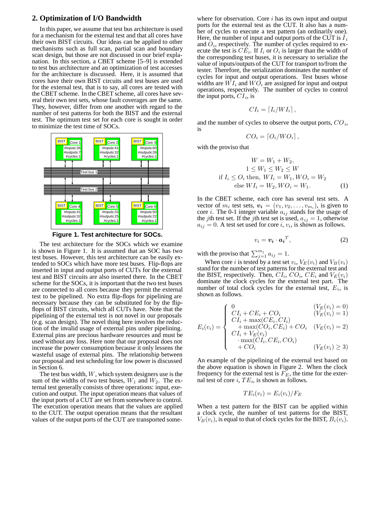## **2. Optimization of I/O Bandwidth**

In this paper, we assume that test bus architecture is used for a mechanism for the external test and that all cores have their own BIST circuits. Our ideas can be applied to other mechanisms such as full scan, partial scan and boundary scan design, but those are not discussed in our brief explanation. In this section, a CBET scheme [5–9] is extended to test bus architecture and an optimization of test accesses for the architecture is discussed. Here, it is assumed that cores have their own BIST circuits and test buses are used for the external test, that is to say, all cores are tested with the CBET scheme. In the CBET scheme, all cores have several their own test sets, whose fault coverages are the same. They, however, differ from one another with regard to the number of test patterns for both the BIST and the external test. The optimum test set for each core is sought in order to minimize the test time of SOCs.



**Figure 1. Test architecture for SOCs.**

The test architecture for the SOCs which we examine is shown in Figure 1. It is assumed that an SOC has two test buses. However, this test architecture can be easily extended to SOCs which have more test buses. Flip-flops are inserted in input and output ports of CUTs for the external test and BIST circuits are also inserted there. In the CBET scheme for the SOCs, it is important that the two test buses are connected to all cores because they permit the external test to be pipelined. No extra flip-flops for pipelining are necessary because they can be substituted for by the flipflops of BIST circuits, which all CUTs have. Note that the pipelining of the external test is not novel in our proposals (e.g. scan design). The novel thing here involves the reduction of the invalid usage of external pins under pipelining. External pins are precious hardware resources and must be used without any loss. Here note that our proposal does not increase the power consumption because it only lessens the wasteful usage of external pins. The relationship between our proposal and test scheduling for low power is discussed in Section 6.

The test bus width, *W*, which system designers use is the sum of the widths of two test buses,  $W_1$  and  $W_2$ . The external test generally consists of three operations: input, execution and output. The input operation means that values of the input ports of a CUT are set from somewhere to control. The execution operation means that the values are applied to the CUT. The output operation means that the resultant values of the output ports of the CUT are transported somewhere for observation. Core *i* has its own input and output ports for the external test as the CUT. It also has a number of cycles to execute a test pattern (an ordinarily one). Here, the number of input and output ports of the CUT is *I <sup>i</sup>* and *Oi*, respectively. The number of cycles required to execute the test is  $CE_i$ . If  $I_i$  or  $O_i$  is larger than the width of the corresponding test buses, it is necessary to serialize the value of inputs/outputs of the CUT for transport to/from the tester. Therefore, the serialization dominates the number of cycles for input and output operations. Test buses whose widths are  $\hat{WI}_i$  and  $\hat{WO}_i$  are assigned for input and output operations, respectively. The number of cycles to control the input ports,  $CI<sub>i</sub>$ , is

$$
CI_i = [I_i/WI_i],
$$

and the number of cycles to observe the output ports, *COi*, is

$$
CO_i = [O_i/WO_i],
$$

with the proviso that

$$
W = W_1 + W_2,
$$
  
\n
$$
1 \le W_1 \le W_2 \le W
$$
  
\nif  $I_i \le O_i$  then,  $WI_i = W_1, WO_i = W_2$   
\nelse  $WI_i = W_2, WO_i = W_1$ . (1)

In the CBET scheme, each core has several test sets. A vector of  $m_i$  test sets,  $v_i = (v_1, v_2, \ldots, v_{m_i})$ , is given to core *i*. The 0-1 integer variable *aij* stands for the usage of the *j*th test set. If the *j*th test set is used,  $a_{ij} = 1$ , otherwise  $a_{ij} = 0$ . A test set used for core *i*,  $v_i$ , is shown as follows.

$$
v_i = \boldsymbol{v_i} \cdot \boldsymbol{a_i}^T,\tag{2}
$$

with the proviso that  $\sum_{j=1}^{m_j} a_{ij} = 1$ .

When core *i* is tested by a test set  $v_i$ ,  $V_E(v_i)$  and  $V_B(v_i)$ stand for the number of test patterns for the external test and the BIST, respectively. Then,  $CI_i$ ,  $CO_i$ ,  $CE_i$  and  $V_E(v_i)$ dominate the clock cycles for the external test part. The number of total clock cycles for the external test, *Ei*, is shown as follows.

$$
\begin{cases}\n0 & (V_E(v_i) = 0) \\
C I_i + C E_i + C O_i & (V_E(v_i) = 1) \\
C I_i + \max(C E_i, C I_i) & + \max(C O_i, C E_i) + C O_i & (V_E(v_i) = 2)\n\end{cases}
$$

$$
E_i(v_i) = \begin{cases} \n\begin{cases} \n\begin{cases} \n\begin{cases} \n\begin{cases} \n\begin{cases} \n\begin{cases} \n\begin{cases} \n\begin{cases} \n\begin{cases} \n\begin{cases} \n\begin{cases} \n\begin{cases} \n\begin{cases} \n\begin{cases} \n\begin{cases} \n\begin{cases} \n\begin{cases} \n\begin{cases} \n\begin{cases} \n\begin{cases} \n\begin{cases} \n\begin{cases} \n\begin{cases} \n\begin{cases} \n\begin{cases} \n\begin{cases} \n\begin{cases} \n\begin{cases} \n\begin{cases} \n\begin{cases} \n\begin{cases} \n\begin{cases} \n\begin{cases} \n\begin{cases} \n\begin{cases} \n\begin{cases} \n\begin{cases} \n\begin{cases} \n\begin{cases} \n\begin{cases} \n\begin{cases} \n\begin{cases} \n\begin{cases} \n\begin{cases} \n\begin{cases} \n\begin{cases} \n\begin{cases} \n\begin{cases} \n\begin{cases} \n\begin{cases} \n\begin{cases} \n\begin{cases} \n\begin{cases} \n\begin{cases} \n\begin{cases} \n\begin{cases} \n\begin{cases} \n\begin{cases} \n\begin{cases} \n\begin{cases} \n\begin{cases} \n\begin{cases} \n\begin{cases} \n\begin{cases} \n\begin{cases} \n\begin{cases} \n\begin{cases} \n\begin{cases} \n\begin{cases} \n\begin{cases} \n\begin{cases} \n\begin{{cases} \n\begin{{cases} \n\begin{{cases} \n\begin{{cases} \n\begin{{cases} \n\begin{{cases} \n\begin{{cases} \n\begin{{cases} \n\begin{{cases} \n\begin{{right} \n\begin{{cases} \n\begin{{right} \n\begin{{cases} \n\begin{{cases} \n\begin{{right} \n\begin{{right} \n\begin{{right} \n\begin{{right} \n\begin{{cases} \n\begin{{right} \n\begin{{right} \n\begin{{cases} \n\begin{{right} \n\begin{{cases} \n\begin{{right} \n\begin{{cases} \n\begin{{right} \n\begin{{cases} \n\begin{{right} \n\begin{{right} \n\begin{{right} \n\
$$

An example of the pipelining of the external test based on the above equation is shown in Figure 2. When the clock frequency for the external test is  $F_E$ , the time for the external test of core  $i$ ,  $TE_i$ , is shown as follows.

$$
TE_i(v_i) = E_i(v_i)/F_E
$$

When a test pattern for the BIST can be applied within a clock cycle, the number of test patterns for the BIST,  $V_B(v_i)$ , is equal to that of clock cycles for the BIST,  $B_i(v_i)$ .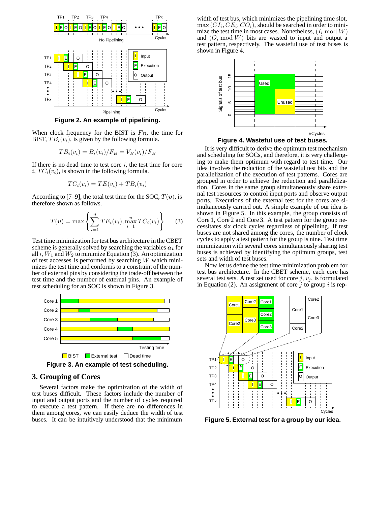

**Figure 2. An example of pipelining.**

When clock frequency for the BIST is  $F_B$ , the time for BIST,  $TB_i(v_i)$ , is given by the following formula.

$$
TB_i(v_i) = B_i(v_i)/F_B = V_B(v_i)/F_B
$$

If there is no dead time to test core  $i$ , the test time for core  $i$ ,  $TC_i(v_i)$ , is shown in the following formula.

$$
TC_i(v_i) = TE(v_i) + TB_i(v_i)
$$

According to [7–9], the total test time for the SOC,  $T(\mathbf{v})$ , is therefore shown as follows.

$$
T(\boldsymbol{v}) = \max \left\{ \sum_{i=1}^{n} TE_i(v_i), \max_{i=1}^{n} TC_i(v_i) \right\}
$$
 (3)

Test time minimization for test bus architecture in the CBET scheme is generally solved by searching the variables *a<sup>i</sup>* for all *i*,  $W_1$  and  $W_2$  to minimize Equation (3). An optimization of test accesses is performed by searching *W* which minimizes the test time and conforms to a constraint of the number of external pins by considering the trade-off between the test time and the number of external pins. An example of test scheduling for an SOC is shown in Figure 3.



**Figure 3. An example of test scheduling.**

#### **3. Grouping of Cores**

Several factors make the optimization of the width of test buses difficult. These factors include the number of input and output ports and the number of cycles required to execute a test pattern. If there are no differences in them among cores, we can easily deduce the width of test buses. It can be intuitively understood that the minimum

width of test bus, which minimizes the pipelining time slot,  $\max (CI_i, CE_i, CO_i)$ , should be searched in order to minimize the test time in most cases. Nonetheless,  $(I_i \mod W)$ and  $(O_i \mod W)$  bits are wasted to input and output a test pattern, respectively. The wasteful use of test buses is shown in Figure 4.





It is very difficult to derive the optimum test mechanism and scheduling for SOCs, and therefore, it is very challenging to make them optimum with regard to test time. Our idea involves the reduction of the wasteful test bits and the parallelization of the execution of test patterns. Cores are grouped in order to achieve the reduction and parallelization. Cores in the same group simultaneously share external test resources to control input ports and observe output ports. Executions of the external test for the cores are simultaneously carried out. A simple example of our idea is shown in Figure 5. In this example, the group consists of Core 1, Core 2 and Core 3. A test pattern for the group necessitates six clock cycles regardless of pipelining. If test buses are not shared among the cores, the number of clock cycles to apply a test pattern for the group is nine. Test time minimization with several cores simultaneously sharing test buses is achieved by identifying the optimum groups, test sets and width of test buses.

Now let us define the test time minimization problem for test bus architecture. In the CBET scheme, each core has several test sets. A test set used for core  $j$ ,  $v_j$ , is formulated in Equation (2). An assignment of core *j* to group *i* is rep-

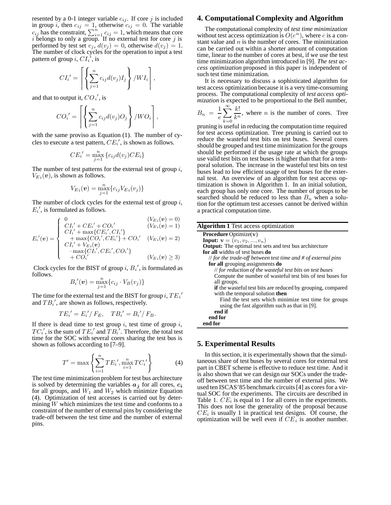resented by a 0-1 integer variable  $c_{ij}$ . If core *j* is included in group *i*, then  $c_{ij} = 1$ , otherwise  $c_{ij} = 0$ . The variable  $c_{ij}$  has the constraint,  $\sum_{i=1}^{n} c_{ij} = 1$ , which means that core *i* belongs to only a group. If no external test for core *j* is performed by test set  $v_j$ ,  $d(v_j) = 0$ , otherwise  $d(v_j) = 1$ . The number of clock cycles for the operation to input a test pattern of group *i*,  $CI<sub>i</sub><sup>i</sup>$ , is

$$
CI_i' = \left\{ \left\{ \sum_{j=1}^n c_{ij} d(v_j) I_j \right\} / WI_i \right\},
$$

and that to output it,  $CO<sub>i</sub>'$ , is

$$
CO_i' = \left[ \left\{ \sum_{j=1}^n c_{ij} d(v_j) O_j \right\} / W O_i \right],
$$

with the same proviso as Equation (1). The number of cycles to execute a test pattern,  $CE_i'$ , is shown as follows.

$$
CE_i' = \max_{j=1}^n \{c_{ij}d(v_j)CE_i\}
$$

The number of test patterns for the external test of group *i*,  $V_{E_i}(v)$ , is shown as follows.

$$
V_{E i}(\bm{v}) = \max_{j=1}^{n} \{c_{ij} V_{E i}(v_j)\}
$$

The number of clock cycles for the external test of group *i*,  $E_i'$ , is formulated as follows.

$$
E_i'(v) = \begin{cases} 0 & (V_{E_i}(v) = 0) \\ Ct_i' + CE_i' + CO_i' & (V_{E_i}(v) = 1) \\ Ct_i' + \max\{CE_i', CI_i'\} \\ + \max\{CO_i', CE_i'\} + CO_i' & (V_{E_i}(v) = 2) \\ Ct_i' + V_{E_i}(v) \\ - \max\{CI_i', CE_i', CO_i'\} \\ + CO_i' & (V_{E_i}(v) \ge 3) \end{cases}
$$

Clock cycles for the BIST of group  $i$ ,  $B_i'$ , is formulated as follows.

$$
B_i'(\boldsymbol{v}) = \max_{j=1}^n \{c_{ij} \cdot V_B(v_j)\}
$$

The time for the external test and the BIST for group *i*, *T E<sup>i</sup>* and  $TB_i'$ , are shown as follows, respectively.

$$
TE'_i = E'_i / F_E, \quad TB'_i = B'_i / F_B.
$$

If there is dead time to test group *i*, test time of group *i*,  $TC_i'$ , is the sum of  $TE_i'$  and  $TB_i'$ . Therefore, the total test time for the SOC with several cores sharing the test bus is shown as follows according to [7–9].

$$
T' = \max \left\{ \sum_{i=1}^{n} TE'_i, \max_{i=1}^{n} TC'_i \right\}
$$
 (4)

The test time minimization problem for test bus architecture is solved by determining the variables  $a_j$  for all cores,  $c_i$ for all groups, and  $W_1$  and  $W_2$  which minimize Equation (4). Optimization of test accesses is carried out by determining *W* which minimizes the test time and conforms to a constraint of the number of external pins by considering the trade-off between the test time and the number of external pins.

# **4. Computational Complexity and Algorithm**

The computational complexity of *test time minimization* without test access optimization is  $O(c^n)$ , where *c* is a constant value and *n* is the number of cores. The minimization can be carried out within a shorter amount of computation time, linear to the number of cores at best, if we use the test time minimization algorithm introduced in [9]. *The test access optimization* proposed in this paper is independent of such test time minimization.

It is necessary to discuss a sophisticated algorithm for test access optimization because it is a very time-consuming process. The computational complexity of *test access optimization* is expected to be proportional to the Bell number,

$$
B_n = \frac{1}{e} \sum_{k=0}^{\infty} \frac{k!}{k^n}
$$
, where *n* is the number of cores. Tree

pruning is useful in reducing the computation time required for test access optimization. Tree pruning is carried out to reduce the wasteful test bits on test buses. Several cores should be grouped and test time minimization for the groups should be performed if the usage rate at which the groups use valid test bits on test buses is higher than that for a temporal solution. The increase in the wasteful test bits on test buses lead to low efficient usage of test buses for the external test. An overview of an algorithm for test access optimization is shown in Algorithm 1. In an initial solution, each group has only one core. The number of groups to be searched should be reduced to less than  $B_n$  when a solution for the optimum test accesses cannot be derived within a practical computation time.

| <b>Algorithm 1</b> Test access optimization                        |  |  |  |  |
|--------------------------------------------------------------------|--|--|--|--|
| <b>Procedure</b> Optimize $(v)$                                    |  |  |  |  |
| <b>Input:</b> $\mathbf{v} = (v_1, v_2, , v_n)$                     |  |  |  |  |
| <b>Output:</b> The optimal test sets and test bus architecture     |  |  |  |  |
| for all widths of test buses do                                    |  |  |  |  |
| // for the trade-off between test time and # of external pins      |  |  |  |  |
| for all grouping assignments do                                    |  |  |  |  |
| // for reduction of the wasteful test bits on test buses           |  |  |  |  |
| Compute the number of wasteful test bits of test buses for         |  |  |  |  |
| all groups.                                                        |  |  |  |  |
| <b>if</b> the wasteful test bits are reduced by grouping, compared |  |  |  |  |
| with the temporal solution then                                    |  |  |  |  |
| Find the test sets which minimize test time for groups             |  |  |  |  |
| using the fast algorithm such as that in [9].                      |  |  |  |  |
| end if                                                             |  |  |  |  |
| end for                                                            |  |  |  |  |
| end for                                                            |  |  |  |  |
|                                                                    |  |  |  |  |

# **5. Experimental Results**

In this section, it is experimentally shown that the simultaneous share of test buses by several cores for external test part in CBET scheme is effective to reduce test time. And it is also shown that we can design our SOCs under the tradeoff between test time and the number of external pins. We used ten ISCAS'85 benchmark circuits [4] as cores for a virtual SOC for the experiments. The circuits are described in Table 1. *CE<sup>i</sup>* is equal to 1 for all cores in the experiments. This does not lose the generality of the proposal because  $CE<sub>i</sub>$  is usually 1 in practical test designs. Of course, the optimization will be well even if  $CE<sub>i</sub>$  is another number.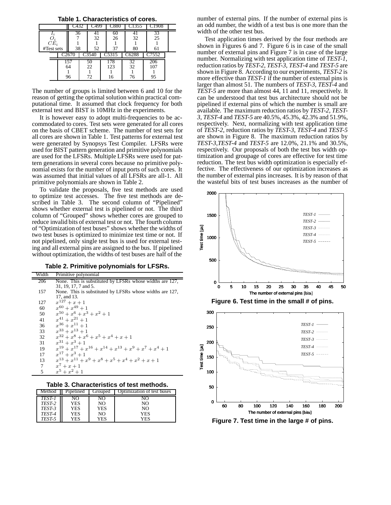**Table 1. Characteristics of cores.**

|                               |                          |  | C432           |       | C499     |                  | C880           |       | C1355    |                  | C1908          |  |
|-------------------------------|--------------------------|--|----------------|-------|----------|------------------|----------------|-------|----------|------------------|----------------|--|
| $O_i$<br>$CE_i$<br>#Test sets |                          |  | 36<br>38       |       | 32<br>52 |                  | 60<br>26<br>37 |       | 32<br>80 |                  | 33<br>25<br>61 |  |
|                               | C2670<br>157<br>64<br>96 |  |                | C3540 |          |                  | C5315          | 26288 |          |                  | C7552          |  |
|                               |                          |  | 50<br>22<br>72 |       |          | 178<br>123<br>16 | 32<br>32<br>76 |       |          | 206<br>107<br>95 |                |  |

The number of groups is limited between 6 and 10 for the reason of getting the optimal solution within practical computational time. It assumed that clock frequency for both external test and BIST is 10MHz in the experiments.

It is however easy to adopt multi-frequencies to be accommodated to cores. Test sets were generated for all cores on the basis of CBET scheme. The number of test sets for all cores are shown in Table 1. Test patterns for external test were generated by Synopsys Test Compiler. LFSRs were used for BIST pattern generation and primitive polynomials are used for the LFSRs. Multiple LFSRs were used for pattern generations in several cores because no primitive polynomial exists for the number of input ports of such cores. It was assumed that initial values of all LFSRs are all-1. All primitive polynomials are shown in Table 2.

To validate the proposals, five test methods are used to optimize test accesses. The five test methods are described in Table 3. The second column of "Pipelined" shows whether external test is pipelined or not. The third column of "Grouped" shows whether cores are grouped to reduce invalid bits of external test or not. The fourth column of "Optimization of test buses" shows whether the widths of two test buses is optimized to minimize test time or not. If not pipelined, only single test bus is used for external testing and all external pins are assigned to the bus. If pipelined without optimization, the widths of test buses are half of the

| Width | Primitive polynomial                                               |
|-------|--------------------------------------------------------------------|
| 206   | None. This is substituted by LFSRs whose widths are 127,           |
|       | 31, 19, 17, 7 and 5.                                               |
| 157   | None. This is substituted by LFSRs whose widths are 127,           |
|       | 17, and 13.                                                        |
| 127   | $x^{127}+x+1$                                                      |
| 60    | $x^{60} + x^{49} + 1$                                              |
| 50    | $x^{50} + x^6 + x^3 + x^2 + 1$                                     |
| 41    | $x^{41} + x^{21} + 1$                                              |
| 36    | $x^{36} + x^{11} + 1$                                              |
| 33    | $r^{33} + r^{13} + 1$                                              |
| 32    | $x^{32} + x^8 + x^6 + x^5 + x^4 + x + 1$                           |
| 31    | $x^{31} + x^3 + 1$                                                 |
| 19    | $x^{19} + x^{17} + x^{16} + x^{14} + x^{13} + x^9 + x^7 + x^4 + 1$ |
| 17    | $r^{17}+r^{3}+1$                                                   |
| 13    | $x^{13} + x^{11} + x^9 + x^8 + x^5 + x^4 + x^2 + x + 1$            |
| 7     | $x^7 + x + 1$                                                      |
| 5     | $x^5 + x^2 + 1$                                                    |

**Table 3. Characteristics of test methods.**

| Method | Pipelined | Grouped | Optimization of test buses |
|--------|-----------|---------|----------------------------|
| TEST-1 | JO        | NO.     | JC.                        |
| TEST-2 | YES       | NΟ      | NΟ                         |
| TEST-3 | YES       | YES     | NO                         |
| TEST-4 | YES       | NΟ      | YES                        |
| TEST-5 | YES       | YES     | YES                        |

number of external pins. If the number of external pins is an odd number, the width of a test bus is one more than the width of the other test bus.

Test application times derived by the four methods are shown in Figures 6 and 7. Figure 6 is in case of the small number of external pins and Figure 7 is in case of the large number. Normalizing with test application time of *TEST-1*, reduction ratios by *TEST-2*, *TEST-3*, *TEST-4* and *TEST-5* are shown in Figure 8. According to our experiments, *TEST-2* is more effective than *TEST-1* if the number of external pins is larger than almost 51. The numbers of *TEST-3*, *TEST-4* and *TEST-5* are more than almost 44, 11 and 11, respectively. It can be understood that test bus architecture should not be pipelined if external pins of which the number is small are available. The maximum reduction ratios by *TEST-2*, *TEST-3*, *TEST-4* and *TEST-5* are 40.5%, 45.3%, 42.3% and 51.9%, respectively. Next, normalizing with test application time of *TEST-2*, reduction ratios by *TEST-3*, *TEST-4* and *TEST-5* are shown in Figure 8. The maximum reduction ratios by *TEST-3*,*TEST-4* and *TEST-5* are 12.0%, 21.1% and 30.5%, respectively. Our proposals of both the test bus width optimization and groupage of cores are effective for test time reduction. The test bus width optimization is especially effective. The effectiveness of our optimization increases as the number of external pins increases. It is by reason of that the wasteful bits of test buses increases as the number of





**Figure 7. Test time in the large # of pins.**